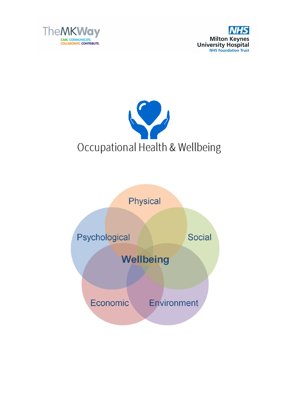





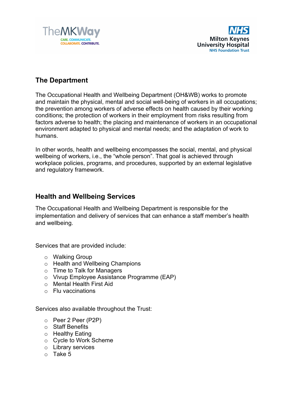



## **The Department**

The Occupational Health and Wellbeing Department (OH&WB) works to promote and maintain the physical, mental and social well-being of workers in all occupations; the prevention among workers of adverse effects on health caused by their working conditions; the protection of workers in their employment from risks resulting from factors adverse to health; the placing and maintenance of workers in an occupational environment adapted to physical and mental needs; and the adaptation of work to humans.

In other words, health and wellbeing encompasses the social, mental, and physical wellbeing of workers, i.e., the "whole person". That goal is achieved through workplace policies, programs, and procedures, supported by an external legislative and regulatory framework.

## **Health and Wellbeing Services**

The Occupational Health and Wellbeing Department is responsible for the implementation and delivery of services that can enhance a staff member's health and wellbeing.

Services that are provided include:

- o Walking Group
- o Health and Wellbeing Champions
- o Time to Talk for Managers
- o Vivup Employee Assistance Programme (EAP)
- o Mental Health First Aid
- o Flu vaccinations

Services also available throughout the Trust:

- o Peer 2 Peer (P2P)
- o Staff Benefits
- o Healthy Eating
- o Cycle to Work Scheme
- o Library services
- o Take 5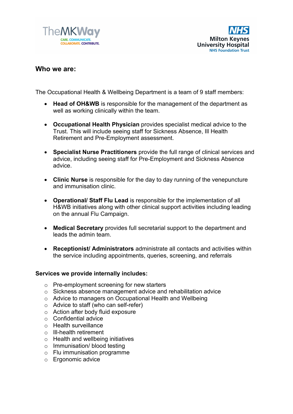



## **Who we are:**

The Occupational Health & Wellbeing Department is a team of 9 staff members:

- **Head of OH&WB** is responsible for the management of the department as well as working clinically within the team.
- **Occupational Health Physician** provides specialist medical advice to the Trust. This will include seeing staff for Sickness Absence, Ill Health Retirement and Pre-Employment assessment.
- **Specialist Nurse Practitioners** provide the full range of clinical services and advice, including seeing staff for Pre-Employment and Sickness Absence advice.
- **Clinic Nurse** is responsible for the day to day running of the venepuncture and immunisation clinic.
- **Operational/ Staff Flu Lead** is responsible for the implementation of all H&WB initiatives along with other clinical support activities including leading on the annual Flu Campaign.
- **Medical Secretary** provides full secretarial support to the department and leads the admin team.
- **Receptionist/ Administrators** administrate all contacts and activities within the service including appointments, queries, screening, and referrals

#### **Services we provide internally includes:**

- o Pre-employment screening for new starters
- o Sickness absence management advice and rehabilitation advice
- o Advice to managers on Occupational Health and Wellbeing
- o Advice to staff (who can self-refer)
- o Action after body fluid exposure
- o Confidential advice
- o Health surveillance
- o Ill-health retirement
- o Health and wellbeing initiatives
- o Immunisation/ blood testing
- o Flu immunisation programme
- o Ergonomic advice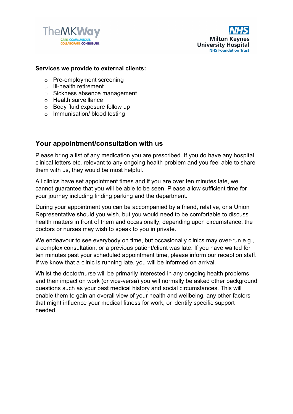



#### **Services we provide to external clients:**

- o Pre-employment screening
- o Ill-health retirement
- o Sickness absence management
- o Health surveillance
- o Body fluid exposure follow up
- o Immunisation/ blood testing

### **Your appointment/consultation with us**

Please bring a list of any medication you are prescribed. If you do have any hospital clinical letters etc. relevant to any ongoing health problem and you feel able to share them with us, they would be most helpful.

All clinics have set appointment times and if you are over ten minutes late, we cannot guarantee that you will be able to be seen. Please allow sufficient time for your journey including finding parking and the department.

During your appointment you can be accompanied by a friend, relative, or a Union Representative should you wish, but you would need to be comfortable to discuss health matters in front of them and occasionally, depending upon circumstance, the doctors or nurses may wish to speak to you in private.

We endeavour to see everybody on time, but occasionally clinics may over-run e.g., a complex consultation, or a previous patient/client was late. If you have waited for ten minutes past your scheduled appointment time, please inform our reception staff. If we know that a clinic is running late, you will be informed on arrival.

Whilst the doctor/nurse will be primarily interested in any ongoing health problems and their impact on work (or vice-versa) you will normally be asked other background questions such as your past medical history and social circumstances. This will enable them to gain an overall view of your health and wellbeing, any other factors that might influence your medical fitness for work, or identify specific support needed.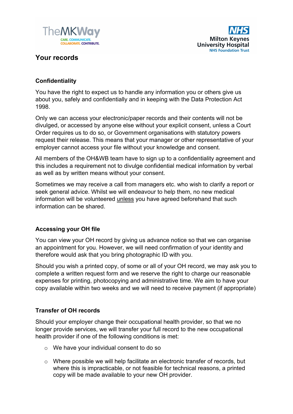



## **Your records**

#### **Confidentiality**

You have the right to expect us to handle any information you or others give us about you, safely and confidentially and in keeping with the Data Protection Act 1998.

Only we can access your electronic/paper records and their contents will not be divulged, or accessed by anyone else without your explicit consent, unless a Court Order requires us to do so, or Government organisations with statutory powers request their release. This means that your manager or other representative of your employer cannot access your file without your knowledge and consent.

All members of the OH&WB team have to sign up to a confidentiality agreement and this includes a requirement not to divulge confidential medical information by verbal as well as by written means without your consent.

Sometimes we may receive a call from managers etc. who wish to clarify a report or seek general advice. Whilst we will endeavour to help them, no new medical information will be volunteered unless you have agreed beforehand that such information can be shared.

#### **Accessing your OH file**

You can view your OH record by giving us advance notice so that we can organise an appointment for you. However, we will need confirmation of your identity and therefore would ask that you bring photographic ID with you.

Should you wish a printed copy, of some or all of your OH record, we may ask you to complete a written request form and we reserve the right to charge our reasonable expenses for printing, photocopying and administrative time. We aim to have your copy available within two weeks and we will need to receive payment (if appropriate)

#### **Transfer of OH records**

Should your employer change their occupational health provider, so that we no longer provide services, we will transfer your full record to the new occupational health provider if one of the following conditions is met:

- o We have your individual consent to do so
- o Where possible we will help facilitate an electronic transfer of records, but where this is impracticable, or not feasible for technical reasons, a printed copy will be made available to your new OH provider.